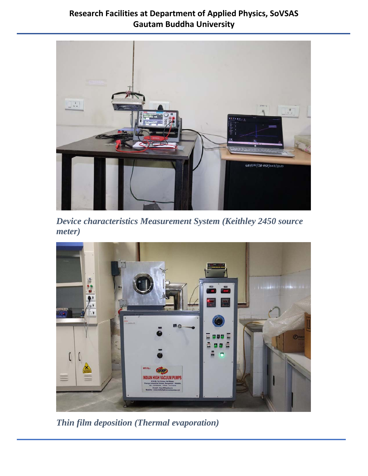

*Device characteristics Measurement System (Keithley 2450 source meter)* 



*Thin film deposition (Thermal evaporation)*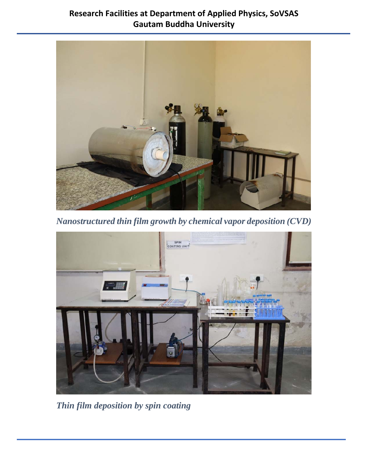

*Nanostructured thin film growth by chemical vapor deposition (CVD)* 



*Thin film deposition by spin coating*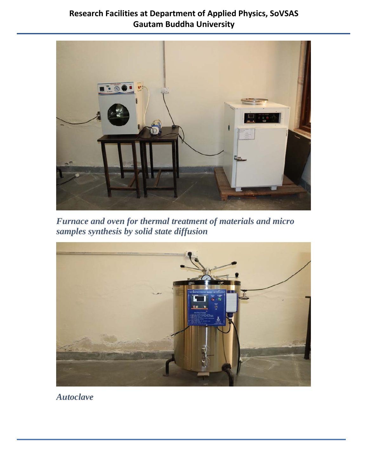

*Furnace and oven for thermal treatment of materials and micro samples synthesis by solid state diffusion* 



*Autoclave*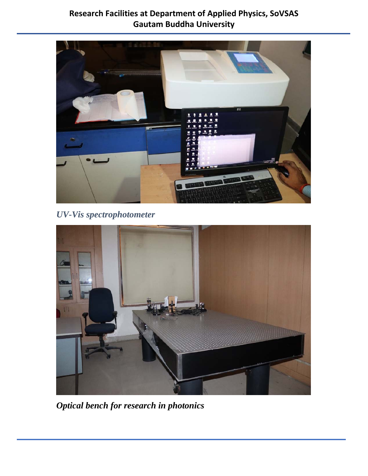

*UV-Vis spectrophotometer* 



*Optical bench for research in photonics*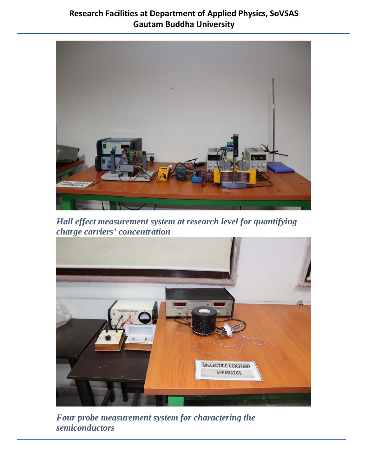

*Hall effect measurement system at research level for quantifying charge carriers' concentration*



*Four probe measurement system for charactering the semiconductors*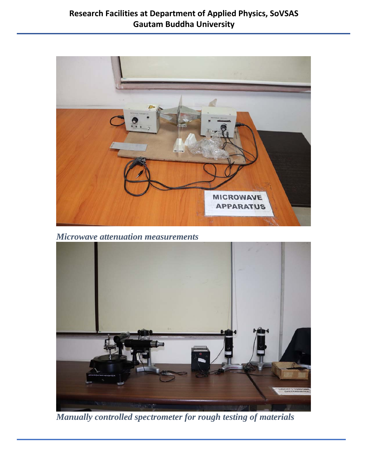

*Microwave attenuation measurements*



*Manually controlled spectrometer for rough testing of materials*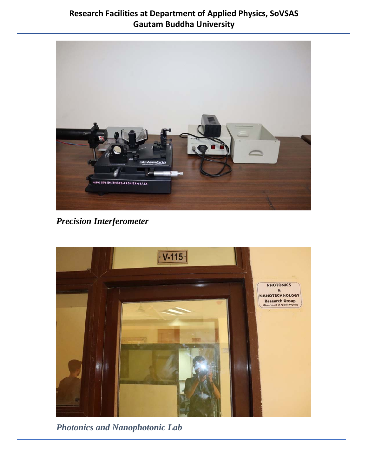

*Precision Interferometer* 



*Photonics and Nanophotonic Lab*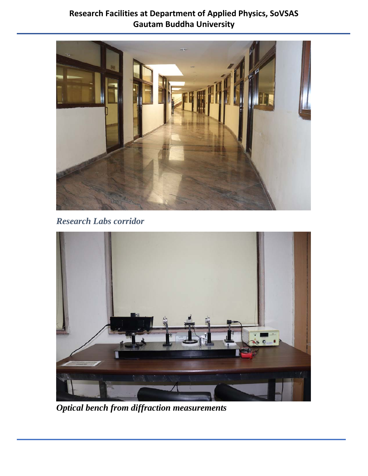

*Research Labs corridor* 



*Optical bench from diffraction measurements*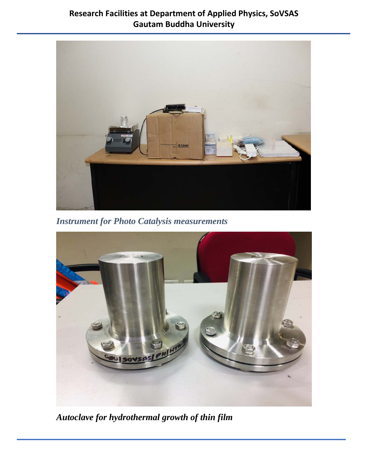

*Instrument for Photo Catalysis measurements* 



*Autoclave for hydrothermal growth of thin film*